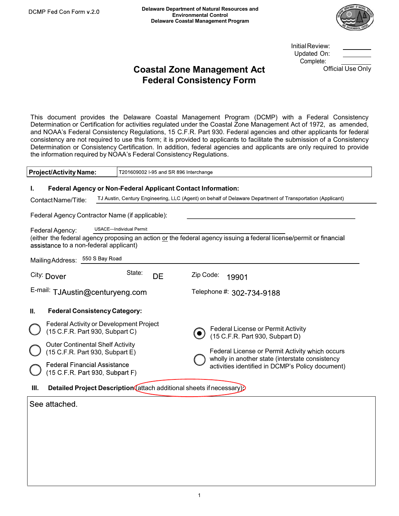

**InitialReview:** Complete:

### Delaware Department of Natural Resources and<br>
Environmental Control<br>
Delaware Coastal Management Program<br>
Coastal Zone Management Act<br>
Coastal Zone Management Act<br>
Federal Consistency Form<br>
Federal Consistency Form Delaware Department of Natural Resources and<br>
Environmental Control<br>
Delaware Coastal Management Program<br>
Dastal Zone Management Act<br>
Federal Consistency Form<br>
Tederal Consistency Form<br>
Tederal Consistency Form<br>
Tederal Co

COMP Fed Con Form v.2.0<br>
Delaware Department of Natural Resources and<br>
Delaware Coastal Management Program<br>
Delaware Coastal **Zone Management Act**<br>
Coastal **Zone Management Act**<br>
Coastal Consistency Form<br>
This document pro Detaware Department of Natural Resources and<br>
Delaware Coastal Management Program<br>
Delaware Coastal Zone Management Act Complete:<br>
Coastal Zone Management Act Complete:<br>
Coastal Zone Management Act Complete:<br>
Determination COMP Fed Con Form v.2.0 Delaware Department of Natural Resources and<br>
Environmental Control<br>
Delaware Coastal Management Act<br>
Coastal Zone Management Act<br>
Coastal Consistency Form<br>
This document provides the Delaware Coast COLOR For Consistency are not required to the management Act consistency are not required to applicant and the submission of Consistency and the Undated On:<br>
Consistency are not required to applicant and the submission of Determination or Consistency Certification. In addition, federal agencies and Environmental Control Complete:<br>
Consider Only Consider Only Consistency Certification of Consistency Certification of Consistency Certification COMP Fed Con Form v.2.0<br>
Delaware Department of Natural Resources and<br>
Environmental Control<br>
Delaware Cosstal Management Act<br>
Consistency Republications:<br>
Consider and NOAA's Federal Consistency Regulated under the Coasta Determination or Consistency Controllers (Experiment Program (CCMP) with a Federal Omisier Considered On Complete:<br>
This document provides the Delaware Coastal Management Program (DCMP) with a Federal Consistency<br>
Determin Initial Hevrew:<br>
Constal Zone Management Act<br>
Complete:<br>
Federal Consistency Form<br>
This document provides the Delaware Coastal Management Program (DCMP) with a Federal Consider<br>
Determination or Certification for activitie **Coastal Zone Management Act**<br> **Federal Consistency Form**<br>
This document provides the Delaware Coastal Management Program (DCI<br>
Determination or Certification for activities regulated under the Coastal Zone Mana<br>
and NOAA' Coastal Zone Management Act Omcial Use Unity<br>
Federal Consistency Form<br>
This document provides the Delaware Coastal Management Program (DCMP) with a Federal Consistency<br>
Determination or Certification for activities regul Federal Consistency Form<br>
ment provides the Delaware Coastal Management Program (DCMP) with a Feder<br>
to a non-Certification for activities regulated under the Coastal Zone Management Act of 1972<br>
Federal Consistency Regula DOMP Fed Con Form v.2.0<br>
Delaware Department of Natural Resources and<br>
Emvironmental Control<br>
Delaware Coastal Management Program<br>
This document provides the Delaware Coastal Management Program (DCMP) wit<br>
Determination or

| <b>Project/Activity Name:</b> | T201609002 I-95 and SR 896 Interchange |
|-------------------------------|----------------------------------------|
|                               |                                        |

| the information required by NOAA's Federal Consistency Regulations.                                                                                                                                                                |                                        | This document provides the Delaware Coastal Management Program (DCMP) with a Federal Consistency<br>Determination or Certification for activities regulated under the Coastal Zone Management Act of 1972, as amended,<br>and NOAA's Federal Consistency Regulations, 15 C.F.R. Part 930. Federal agencies and other applicants for federal<br>consistency are not required to use this form; it is provided to applicants to facilitate the submission of a Consistency<br>Determination or Consistency Certification. In addition, federal agencies and applicants are only required to provide |  |  |  |
|------------------------------------------------------------------------------------------------------------------------------------------------------------------------------------------------------------------------------------|----------------------------------------|---------------------------------------------------------------------------------------------------------------------------------------------------------------------------------------------------------------------------------------------------------------------------------------------------------------------------------------------------------------------------------------------------------------------------------------------------------------------------------------------------------------------------------------------------------------------------------------------------|--|--|--|
| <b>Project/Activity Name:</b>                                                                                                                                                                                                      | T201609002 I-95 and SR 896 Interchange |                                                                                                                                                                                                                                                                                                                                                                                                                                                                                                                                                                                                   |  |  |  |
| Federal Agency or Non-Federal Applicant Contact Information:<br>ı.<br>Contact Name/Title:<br>Federal Agency Contractor Name (if applicable):                                                                                       |                                        | TJ Austin, Century Engineering, LLC (Agent) on behalf of Delaware Department of Transportation (Applicant)                                                                                                                                                                                                                                                                                                                                                                                                                                                                                        |  |  |  |
| Federal Agency:<br>assistance to a non-federal applicant)                                                                                                                                                                          | USACE-Individual Permit                | (either the federal agency proposing an action or the federal agency issuing a federal license/permit or financial                                                                                                                                                                                                                                                                                                                                                                                                                                                                                |  |  |  |
| Mailing Address: 550 S Bay Road                                                                                                                                                                                                    |                                        |                                                                                                                                                                                                                                                                                                                                                                                                                                                                                                                                                                                                   |  |  |  |
| City: Dover                                                                                                                                                                                                                        | State:<br>DE                           | Zip Code:<br>19901                                                                                                                                                                                                                                                                                                                                                                                                                                                                                                                                                                                |  |  |  |
| E-mail: TJAustin@centuryeng.com                                                                                                                                                                                                    |                                        | Telephone #: 302-734-9188                                                                                                                                                                                                                                                                                                                                                                                                                                                                                                                                                                         |  |  |  |
| П.<br><b>Federal Consistency Category:</b>                                                                                                                                                                                         |                                        |                                                                                                                                                                                                                                                                                                                                                                                                                                                                                                                                                                                                   |  |  |  |
| Federal Activity or Development Project<br>(15 C.F.R. Part 930, Subpart C)<br><b>Outer Continental Shelf Activity</b><br>(15 C.F.R. Part 930, Subpart E)<br><b>Federal Financial Assistance</b><br>(15 C.F.R. Part 930, Subpart F) |                                        | Federal License or Permit Activity<br>$\bullet$<br>(15 C.F.R. Part 930, Subpart D)<br>Federal License or Permit Activity which occurs<br>wholly in another state (interstate consistency<br>activities identified in DCMP's Policy document)                                                                                                                                                                                                                                                                                                                                                      |  |  |  |
| Detailed Project Description (attach additional sheets if necessary).<br>Ш.                                                                                                                                                        |                                        |                                                                                                                                                                                                                                                                                                                                                                                                                                                                                                                                                                                                   |  |  |  |
| See attached.                                                                                                                                                                                                                      |                                        |                                                                                                                                                                                                                                                                                                                                                                                                                                                                                                                                                                                                   |  |  |  |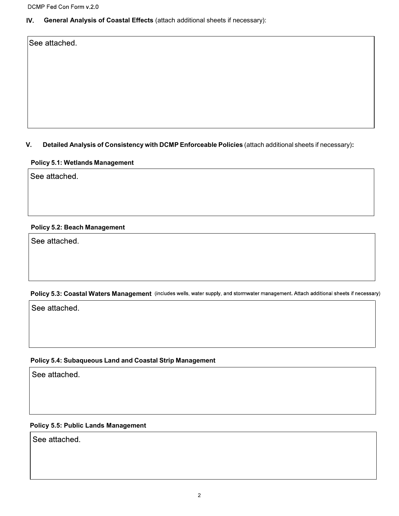### IV. General Analysis of Coastal Effects (attach additional sheets if necessary):

### DCMP Fed Con Form v.2.0<br>
V. General Analysis of Coastal Effects (attach additional sheets if necessary):<br>
See attached.<br>
V. Detailed Analysis of Consistency with DCMP Enforceable Policies (attach additional sheets if neces CMP Fed Con Form v.2.0<br>
7. General Analysis of Coastal Effects (attach additional sheets if necessary):<br>
Decattached.<br>
9. Detailed Analysis of Consistency with DCMP Enforceable Policies (attach additional sheet<br>
9.1: Wetla Detailed Analysis of Consistency with DCMP Enforceable Policies (attach additional s<br>Policy 5.1: Wetlands Management<br>See attached.<br>Policy 5.2: Beach Management<br>See attached. Notalied Analysis of Consistency with DCMP Enforceable Policies (attach additional sheets if ne<br>Policy 5.1: Wetlands Management<br>See attached.<br>Policy 5.2: Boach Management<br>Notal Waters Management (includes wells, water supp

# Policy 5.2: Beach Management<br>Policy 5.3: Coastal Waters Management (includes wells, water supply, and stormwater management. Attach additional sheets if necessary)<br>See attached.<br>Policy 5.4: Subaqueous Land and Coastal Stri

### Policy 5.5: Public Lands Management

See attached.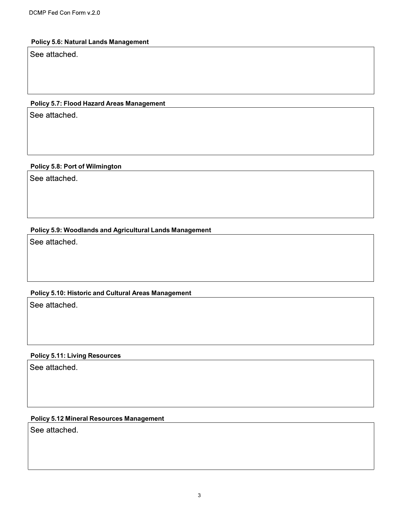### Policy 5.6: Natural Lands Management

## DCMP Fed Con Form v.2.0<br>Policy 5.6: Natural Lands Management<br>See attached.<br>Policy 5.7: Flood Hazard Areas Management<br>See attached. DCMP Fed Con Form v.2.0<br>
Policy 5.6: Natural Lands Management<br>
See attached.<br>
Policy 5.7: Flood Hazard Areas Management<br>
See attached.<br>
Policy 5.8: Port of Wilmington<br>
See attached.

### Policy 5.7: Flood Hazard Areas Management<br>See attached.<br>Policy 5.8: Port of Wilmington<br>See attached.<br>Policy 5.9: Woodlands and Agricultural Lands Management<br>See attached. Policy 5.8: Port of Wilmington<br>See attached.<br>Policy 5.9: Woodlands and Agricultural Lands Management<br>See attached.<br>Policy 5.10: Historic and Cultural Areas Management<br>See attached. Policy 5.9: Woodlands and Agricultural Lands Management<br>See attached.<br>Policy 5.10: Historic and Cultural Areas Management<br>See attached.<br>Policy 5.11: Living Resources<br>See attached.

### Policy 5.12 Mineral Resources Management

See attached.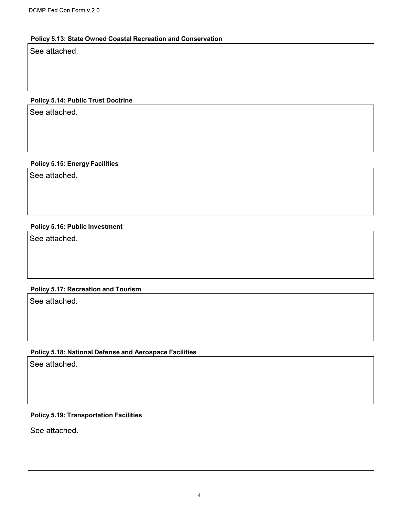### Policy 5.13: State Owned Coastal Recreation and Conservation DCMP Fed Con Form v.2.0<br>Policy 5.13: State Owned Coastal Recreation and Conservation<br>See attached.<br>Policy 5.14: Public Trust Doctrine<br>See attached. DCMP Fed Con Form v.2.0<br>Policy 5.13: State Owned Coastal Recreation and Conservation<br>See attached.<br>Policy 5.14: Public Trust Doctrine<br>See attached.<br>Policy 5.15: Energy Facilities<br>See attached.

# Policy 5.14: Public Trust Doctrine<br>See attached.<br>Policy 5.15: Energy Facilities<br>See attached.<br>Policy 5.16: Public Investment<br>See attached.

# Policy 5.15: Energy Facilities<br>See attached.<br>Policy 5.16: Public Investment<br>See attached.<br>Policy 5.17: Recreation and Tourism<br>See attached.

## Policy 5.18: Public Investment<br>See attached.<br>Policy 5.17: Recreation and Tourism<br>See attached.<br>Policy 5.18: National Defense and Aerospace Facilities<br>See attached. Policy 5.17: Recreation and Tourism<br>See attached.<br>Policy 5.18: National Defense and Aerospace Facilities<br>See attached.<br>Policy 5.19: Transportation Facilities<br>See attached.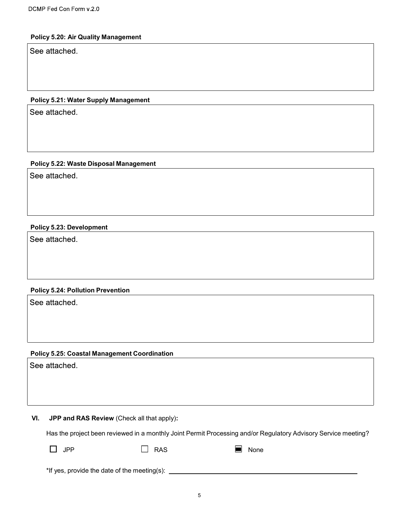### Policy 5.20: Air Quality Management

# DCMP Fed Con Form v.2.0<br>Policy 5.20: Air Quality Management<br>See attached.<br>Policy 5.21: Water Supply Management<br>See attached.

### CMP Fed Con Form v.2.0<br>Policy 5.20: Air Quality Management<br>See attached.<br>Policy 5.21: Water Supply Management<br>See attached.<br>Policy 5.22: Waste Disposal Management<br>See attached. Policy 5.21: Water Supply Management<br>See attached.<br>Policy 5.22: Waste Disposal Management<br>See attached.<br>Policy 5.23: Development<br>See attached. Policy 5.22: Waste Disposal Management<br>See attached.<br>Policy 5.23: Development<br>See attached.<br>Policy 5.24: Pollution Prevention<br>See attached.

# Policy 5.23: Development<br>See attached.<br>Policy 5.24: Pollution Prevention<br>See attached.<br>Policy 5.25: Coastal Management Coordination<br>See attached.

Policy 5.24: Pollution Prevention<br>
Policy 5.25: Coastal Management Coordination<br>
Die attached.<br>
VI. JPP and RAS Review (Check all that apply):<br>
Has the project been reviewed in a monthly Joint Permit Processing and/or Reg y 5.24: Pollution Prevention<br>
#Masched.<br>
#Masched.<br>
<br> **Has the project been reviewed in a monthly Joint Permit Processing and/or Regulatory Advisory Service meeting?**<br>
<br>
∴<br>
The PP ∴<br>
∴<br>
The PP ∴<br>
∴<br>
The PS FAS None<br>
The P **Example 18 Altached.**<br> **Example 18 Altached.**<br> **Example 25: Coastal Management Coordination**<br> **Example 19 Altached Altached is a mentity Joint Permit Processing and/or Regulatory Advisory Service m<br>
<br>
T PP** 

| JPP<br>____ | <b>RAS</b> | None<br>____ |
|-------------|------------|--------------|
|             |            |              |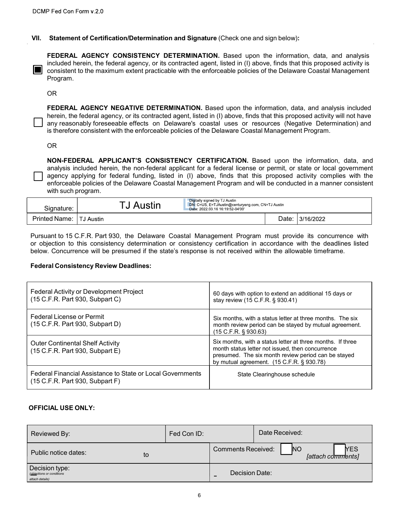CMP Fed Con Form v.2.0<br>
VII. Statement of Certification/Determination and Signature (Check one and sign below):<br>
FEDERAL AGENCY CONSISTENCY DETERMINATION. Based upon the information, data, and analysis<br>
included herein, t P Fed Con Form v.2.0<br> **Statement of Certification/Determination and Signature** (Check one and sign below):<br> **FEDERAL AGENCY CONSISTENCY DETERMINATION**. Based upon the information, data, and analysis<br>
included herein, the f FEDERAL AGENCY CONSISTENCY DETERMINATION. Based upon the information, data, and analysis<br>
FEDERAL AGENCY CONSISTENCY DETERMINATION. Based upon the information, data, and analysis<br>
included herein, the federal agency, or it P Fed Con Form v.2.0<br> **Statement of Certification/Determination and Signature** (Check one and sign below):<br> **FEDERAL AGENCY CONSISTENCY DETERMINATION**. Based upon the information, data, and analysis<br>
included herein, the f Program.

OR **OR** Service and the service of the service of the service of the service of the service of the service of the service of the service of the service of the service of the service of the service of the service of the ser

Ped Con Form v.2.0<br> **Statement of Certification/Determination and Signature** (Check one and sign below):<br> **FEDERAL AGENCY CONSISTENCY DETERMINATION**. Based upon the information, data, and analysis<br>
included herein, the fed Ped Con Form v.2.0<br> **Statement of Certification/Determination and Signature** (Check one and sign below):<br> **FEDERAL AGENCY CONSISTENCY DETERMINATION**. Based upon the information, data, and analysis<br>
included herein, the fed Ped Con Form v.2.0<br> **Statement of Certification/Determination and Signature** (Check one and sign below):<br> **FEDERAL AGENCY CONSISTENCY DETERMINATION**. Based upon the information, data, and analysis<br>
included herein, the fed Pied Con Form v.2.0<br>
Statement of Certification/Determination and Signature (Check one and sign below):<br>
FEDERAL AGENCY CONSISTENCY DETERMINATION. Based upon the information, data, and analysis<br>
included herein, the federa

PFed Con Form v,2,0<br>
Statement of Certification/Determination and Signature (Check one and sign below):<br>
IFEDERAL AGENCY CONSISTENCY DETERMINATION. Based upon the information, data, and analysis<br>
included herein, the feder **Statement of Certification/Determination and Signature** (Check one and sign below):<br> **EEDERAL AGENCY CONSISTENCY DETERMINATION.** Based upon the information, data, and analysis<br>
Included herein, the federal agency, or its **Example 1980**<br> **Statement of Certification/Determination and Signature** (Check one and sign below):<br> **FEDERAL AGENCY CONSISTENCY DETERMINATION.** Based upon the information, data, and analysis<br>
included herein, the federal FEDERAL AGENCY CONSISTENCY DETERMINATION. Based upon the information, data, and analysis<br>Included herein, the federal agency, or its contracted agent, listed in (f) above, finds that this proposed activity is<br>consistent to Statement of Certification/Determination and Signature (Check one and sign beleverand to the maximum constant DC DETERMINATION. Based upon the information included herein, the federal agency, or its contracted agent, liste FEDERAL AGENCY CONSISTENCY DETERMINATION. Based upon the information, data, and analysis<br>
molecule therein, the federal agency, or its contracted agent, listed in (i) above, finds that this proposed activity is<br>
consisten **Example 15 C.F. Part 930, the Delaware Coastal Management Program must provide its concurrence with the propriation of the Schware Coastal Management Program.<br>
Pheren, the federal agency, or its contracted agent, listed i FROERAL AGENCY NEGATIVE DETERMINATION.** Based upon the information, data, and analysis included<br> **Energy, the federal agency, or its contracted agent, listed in (1) above, finds that this proposed activity will not have<br> EXERVAL AGENCY NEGATIVE DETERMINATION.** Based upon the information, data, and analysis included<br>  $\Box$  herence, the federal agency, or its contracted agent, listed in (1) above, finds that this proposed activity will not FEDERAL AGENCY NEGATIVE DETERMINATION. Based upon the information, data, and an<br>herein, the federal agency, or its contracted agent, listed in (i) above, finds that this proposed activity<br>any reasonably foreseeable effects

| Signature:           | Austin    | Digitally signed by TJ Austin<br>DN: C=US, E=TJAustin@centuryeng.com, CN=TJ Austin<br>Date: 2022.03.16 16:19:52-04'00' |       |           |
|----------------------|-----------|------------------------------------------------------------------------------------------------------------------------|-------|-----------|
| <b>Printed Name:</b> | TJ Austin |                                                                                                                        | Date: | 3/16/2022 |

|                                                                            | any reasonably foreseeable effects on Delaware's coastal uses or resources (Negative Determination) and<br>is therefore consistent with the enforceable policies of the Delaware Coastal Management Program.                                                                                                                                                                                                                                   |             |                                                                                                                        |                |                                                                                                                                                                       |                                 |
|----------------------------------------------------------------------------|------------------------------------------------------------------------------------------------------------------------------------------------------------------------------------------------------------------------------------------------------------------------------------------------------------------------------------------------------------------------------------------------------------------------------------------------|-------------|------------------------------------------------------------------------------------------------------------------------|----------------|-----------------------------------------------------------------------------------------------------------------------------------------------------------------------|---------------------------------|
| <b>OR</b>                                                                  |                                                                                                                                                                                                                                                                                                                                                                                                                                                |             |                                                                                                                        |                |                                                                                                                                                                       |                                 |
| with such program.                                                         | NON-FEDERAL APPLICANT'S CONSISTENCY CERTIFICATION. Based upon the information, data, and<br>analysis included herein, the non-federal applicant for a federal license or permit, or state or local government<br>agency applying for federal funding, listed in (I) above, finds that this proposed activity complies with the<br>enforceable policies of the Delaware Coastal Management Program and will be conducted in a manner consistent |             |                                                                                                                        |                |                                                                                                                                                                       |                                 |
| Signature:                                                                 | TJ Austin                                                                                                                                                                                                                                                                                                                                                                                                                                      |             | Digitally signed by TJ Austin<br>DN: C=US, E=TJAustin@centuryeng.com, CN=TJ Austin<br>Date: 2022.03.16 16:19:52-04'00' |                |                                                                                                                                                                       |                                 |
| Printed Name:   TJ Austin                                                  |                                                                                                                                                                                                                                                                                                                                                                                                                                                |             |                                                                                                                        |                | Date:<br>3/16/2022                                                                                                                                                    |                                 |
|                                                                            | Pursuant to 15 C.F.R. Part 930, the Delaware Coastal Management Program must provide its concurrence with<br>or objection to this consistency determination or consistency certification in accordance with the deadlines listed<br>below. Concurrence will be presumed if the state's response is not received within the allowable timeframe.<br><b>Federal Consistency Review Deadlines:</b>                                                |             |                                                                                                                        |                |                                                                                                                                                                       |                                 |
| (15 C.F.R. Part 930, Subpart C)                                            | Federal Activity or Development Project                                                                                                                                                                                                                                                                                                                                                                                                        |             | stay review (15 C.F.R. § 930.41)                                                                                       |                | 60 days with option to extend an additional 15 days or                                                                                                                |                                 |
| <b>Federal License or Permit</b><br>(15 C.F.R. Part 930, Subpart D)        |                                                                                                                                                                                                                                                                                                                                                                                                                                                |             | (15 C.F.R. § 930.63)                                                                                                   |                | Six months, with a status letter at three months. The six<br>month review period can be stayed by mutual agreement.                                                   |                                 |
| <b>Outer Continental Shelf Activity</b><br>(15 C.F.R. Part 930, Subpart E) |                                                                                                                                                                                                                                                                                                                                                                                                                                                |             | by mutual agreement. (15 C.F.R. § 930.78)                                                                              |                | Six months, with a status letter at three months. If three<br>month status letter not issued, then concurrence<br>presumed. The six month review period can be stayed |                                 |
| (15 C.F.R. Part 930, Subpart F)                                            | Federal Financial Assistance to State or Local Governments                                                                                                                                                                                                                                                                                                                                                                                     |             |                                                                                                                        |                | State Clearinghouse schedule                                                                                                                                          |                                 |
| <b>OFFICIAL USE ONLY:</b>                                                  |                                                                                                                                                                                                                                                                                                                                                                                                                                                |             |                                                                                                                        |                |                                                                                                                                                                       |                                 |
| Reviewed By:                                                               |                                                                                                                                                                                                                                                                                                                                                                                                                                                | Fed Con ID: |                                                                                                                        | Date Received: |                                                                                                                                                                       |                                 |
| Public notice dates:                                                       | to                                                                                                                                                                                                                                                                                                                                                                                                                                             |             | <b>Comments Received:</b>                                                                                              |                | NO                                                                                                                                                                    | <b>YES</b><br>[attach comments] |
| Decision type:<br>(objections or conditions<br>attach details)             |                                                                                                                                                                                                                                                                                                                                                                                                                                                |             | Decision Date:                                                                                                         |                |                                                                                                                                                                       |                                 |
|                                                                            |                                                                                                                                                                                                                                                                                                                                                                                                                                                | 6           |                                                                                                                        |                |                                                                                                                                                                       |                                 |
|                                                                            |                                                                                                                                                                                                                                                                                                                                                                                                                                                |             |                                                                                                                        |                |                                                                                                                                                                       |                                 |

| Reviewed By:                                                   | Fed Con ID: |                           | Date Received:                                             |
|----------------------------------------------------------------|-------------|---------------------------|------------------------------------------------------------|
| Public notice dates:<br>to                                     |             | <b>Comments Received:</b> | <b>YES</b><br><b>NO</b><br><b><i>[attach comments]</i></b> |
| Decision type:<br>(objections or conditions<br>attach details) |             | Decision Date:<br>$\sim$  |                                                            |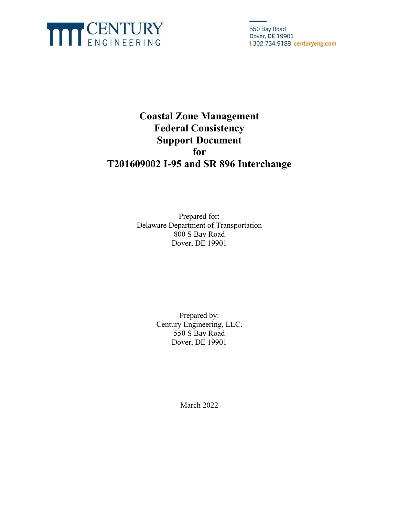

550 Bay Road Dover, DE 19901 t 302.734.9188 centuryeng.com

### Coastal Zone Management Federal Consistency Support Document for T201609002 I-95 and SR 896 Interchange

Prepared for: Delaware Department of Transportation 800 S Bay Road Dover, DE 19901

> Prepared by: Century Engineering, LLC. 550 S Bay Road Dover, DE 19901

> > March 2022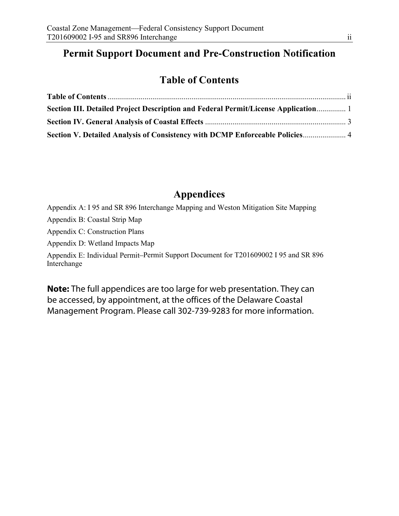### **Permit Support Document and Pre-Construction Notification**

### Table of Contents

| Section III. Detailed Project Description and Federal Permit/License Application 1 |  |
|------------------------------------------------------------------------------------|--|
|                                                                                    |  |
| Section V. Detailed Analysis of Consistency with DCMP Enforceable Policies 4       |  |

### Appendices

Appendix A: I 95 and SR 896 Interchange Mapping and Weston Mitigation Site Mapping

Appendix B: Coastal Strip Map

Appendix C: Construction Plans

Appendix D: Wetland Impacts Map

Appendix E: Individual Permit Permit Support Document for T201609002 I 95 and SR 896 Interchange

**Note:** The full appendices are too large for web presentation. They can be accessed, by appointment, at the offices of the Delaware Coastal Management Program. Please call 302-739-9283 for more information.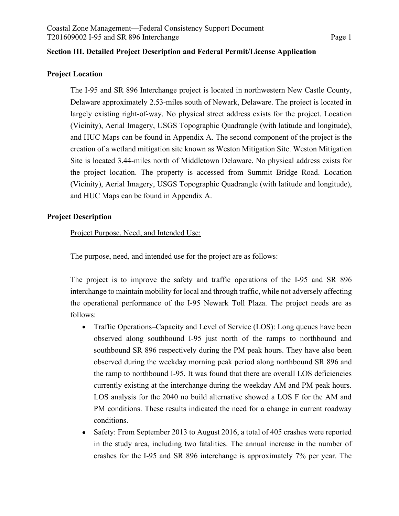### Section III. Detailed Project Description and Federal Permit/License Application

### Project Location

The I-95 and SR 896 Interchange project is located in northwestern New Castle County, Delaware approximately 2.53-miles south of Newark, Delaware. The project is located in largely existing right-of-way. No physical street address exists for the project. Location (Vicinity), Aerial Imagery, USGS Topographic Quadrangle (with latitude and longitude), and HUC Maps can be found in Appendix A. The second component of the project is the creation of a wetland mitigation site known as Weston Mitigation Site. Weston Mitigation Site is located 3.44-miles north of Middletown Delaware. No physical address exists for the project location. The property is accessed from Summit Bridge Road. Location (Vicinity), Aerial Imagery, USGS Topographic Quadrangle (with latitude and longitude), and HUC Maps can be found in Appendix A.

### Project Description

Project Purpose, Need, and Intended Use:

The purpose, need, and intended use for the project are as follows:

The project is to improve the safety and traffic operations of the I-95 and SR 896 interchange to maintain mobility for local and through traffic, while not adversely affecting the operational performance of the I-95 Newark Toll Plaza. The project needs are as follows:

- Traffic Operations–Capacity and Level of Service (LOS): Long queues have been observed along southbound I-95 just north of the ramps to northbound and southbound SR 896 respectively during the PM peak hours. They have also been observed during the weekday morning peak period along northbound SR 896 and the ramp to northbound I-95. It was found that there are overall LOS deficiencies currently existing at the interchange during the weekday AM and PM peak hours. LOS analysis for the 2040 no build alternative showed a LOS F for the AM and PM conditions. These results indicated the need for a change in current roadway conditions.
- Safety: From September 2013 to August 2016, a total of 405 crashes were reported  $\bullet$ in the study area, including two fatalities. The annual increase in the number of crashes for the I-95 and SR 896 interchange is approximately 7% per year. The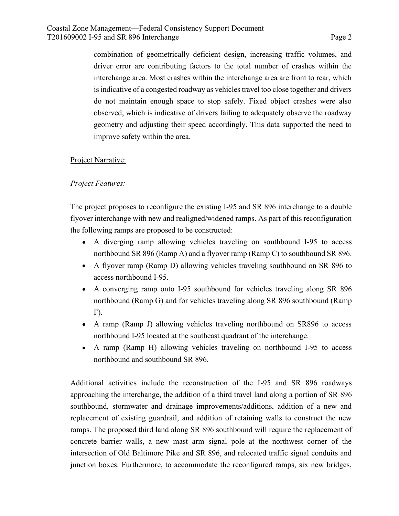Coastal Zone Management—Federal Consistency Support Document<br>T201609002 I-95 and SR 896 Interchange<br>combination of geometrically deficient design, increasing traffic volumes, and<br>driver error are contributing factors to th combination of geometrically deficient design, increasing traffic volumes, and driver error are contributing factors to the total number of crashes within the interchange area. Most crashes within the interchange area are front to rear, which is indicative of a congested roadway as vehicles travel too close together and drivers do not maintain enough space to stop safely. Fixed object crashes were also observed, which is indicative of drivers failing to adequately observe the roadway geometry and adjusting their speed accordingly. This data supported the need to improve safety within the area.

### Project Narrative:

### Project Features:

The project proposes to reconfigure the existing I-95 and SR 896 interchange to a double flyover interchange with new and realigned/widened ramps. As part of this reconfiguration the following ramps are proposed to be constructed:

- A diverging ramp allowing vehicles traveling on southbound I-95 to access northbound SR 896 (Ramp A) and a flyover ramp (Ramp C) to southbound SR 896.
- A flyover ramp (Ramp D) allowing vehicles traveling southbound on SR 896 to access northbound I-95.
- A converging ramp onto I-95 southbound for vehicles traveling along SR 896 northbound (Ramp G) and for vehicles traveling along SR 896 southbound (Ramp F).
- A ramp (Ramp J) allowing vehicles traveling northbound on SR896 to access northbound I-95 located at the southeast quadrant of the interchange.
- A ramp (Ramp H) allowing vehicles traveling on northbound I-95 to access northbound and southbound SR 896.

Additional activities include the reconstruction of the I-95 and SR 896 roadways approaching the interchange, the addition of a third travel land along a portion of SR 896 southbound, stormwater and drainage improvements/additions, addition of a new and replacement of existing guardrail, and addition of retaining walls to construct the new ramps. The proposed third land along SR 896 southbound will require the replacement of concrete barrier walls, a new mast arm signal pole at the northwest corner of the intersection of Old Baltimore Pike and SR 896, and relocated traffic signal conduits and junction boxes. Furthermore, to accommodate the reconfigured ramps, six new bridges,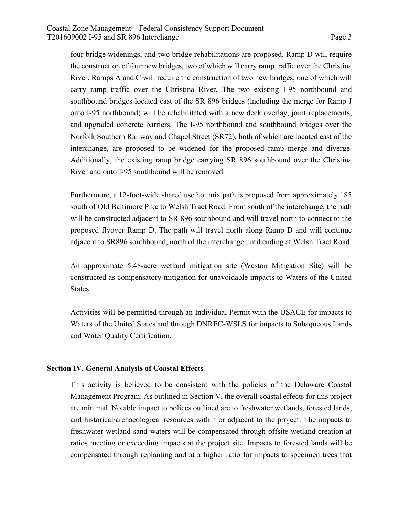Coastal Zone Management—Federal Consistency Support Document<br>T201609002 I-95 and SR 896 Interchange<br>four bridge widenings, and two bridge rehabilitations are proposed. Ramp D will require<br>the construction of four new bridg four bridge widenings, and two bridge rehabilitations are proposed. Ramp D will require the construction of four new bridges, two of which will carry ramp traffic over the Christina River. Ramps A and C will require the construction of two new bridges, one of which will carry ramp traffic over the Christina River. The two existing I-95 northbound and southbound bridges located east of the SR 896 bridges (including the merge for Ramp J onto I-95 northbound) will be rehabilitated with a new deck overlay, joint replacements, and upgraded concrete barriers. The I-95 northbound and southbound bridges over the Norfolk Southern Railway and Chapel Street (SR72), both of which are located east of the interchange, are proposed to be widened for the proposed ramp merge and diverge. Additionally, the existing ramp bridge carrying SR 896 southbound over the Christina River and onto I-95 southbound will be removed.

Furthermore, a 12-foot-wide shared use hot mix path is proposed from approximately 185 south of Old Baltimore Pike to Welsh Tract Road. From south of the interchange, the path will be constructed adjacent to SR 896 southbound and will travel north to connect to the proposed flyover Ramp D. The path will travel north along Ramp D and will continue adjacent to SR896 southbound, north of the interchange until ending at Welsh Tract Road.

An approximate 5.48-acre wetland mitigation site (Weston Mitigation Site) will be constructed as compensatory mitigation for unavoidable impacts to Waters of the United States.

Activities will be permitted through an Individual Permit with the USACE for impacts to Waters of the United States and through DNREC-WSLS for impacts to Subaqueous Lands and Water Quality Certification.

### Section IV. General Analysis of Coastal Effects

This activity is believed to be consistent with the policies of the Delaware Coastal Management Program. As outlined in Section V, the overall coastal effects for this project are minimal. Notable impact to polices outlined are to freshwater wetlands, forested lands, and historical/archaeological resources within or adjacent to the project. The impacts to freshwater wetland sand waters will be compensated through offsite wetland creation at ratios meeting or exceeding impacts at the project site. Impacts to forested lands will be compensated through replanting and at a higher ratio for impacts to specimen trees that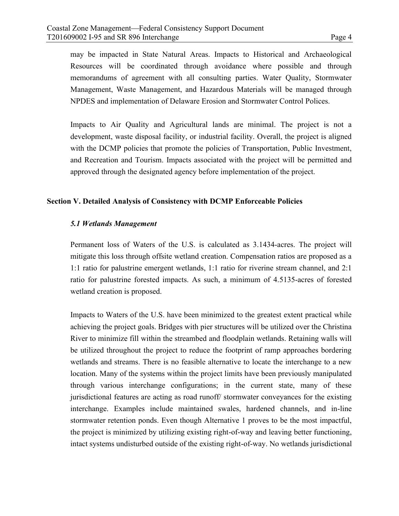Coastal Zone Management—Federal Consistency Support Document<br>
T201609002 I-95 and SR 896 Interchange<br>
may be impacted in State Natural Areas. Impacts to Historical and Archaeological<br>
Resources will be coordinated through may be impacted in State Natural Areas. Impacts to Historical and Archaeological Resources will be coordinated through avoidance where possible and through memorandums of agreement with all consulting parties. Water Quality, Stormwater Management, Waste Management, and Hazardous Materials will be managed through NPDES and implementation of Delaware Erosion and Stormwater Control Polices.

Impacts to Air Quality and Agricultural lands are minimal. The project is not a development, waste disposal facility, or industrial facility. Overall, the project is aligned with the DCMP policies that promote the policies of Transportation, Public Investment, and Recreation and Tourism. Impacts associated with the project will be permitted and approved through the designated agency before implementation of the project.

### Section V. Detailed Analysis of Consistency with DCMP Enforceable Policies

### 5.1 Wetlands Management

Permanent loss of Waters of the U.S. is calculated as 3.1434-acres. The project will mitigate this loss through offsite wetland creation. Compensation ratios are proposed as a 1:1 ratio for palustrine emergent wetlands, 1:1 ratio for riverine stream channel, and 2:1 ratio for palustrine forested impacts. As such, a minimum of 4.5135-acres of forested wetland creation is proposed.

Impacts to Waters of the U.S. have been minimized to the greatest extent practical while achieving the project goals. Bridges with pier structures will be utilized over the Christina River to minimize fill within the streambed and floodplain wetlands. Retaining walls will be utilized throughout the project to reduce the footprint of ramp approaches bordering wetlands and streams. There is no feasible alternative to locate the interchange to a new location. Many of the systems within the project limits have been previously manipulated through various interchange configurations; in the current state, many of these jurisdictional features are acting as road runoff/ stormwater conveyances for the existing interchange. Examples include maintained swales, hardened channels, and in-line stormwater retention ponds. Even though Alternative 1 proves to be the most impactful, the project is minimized by utilizing existing right-of-way and leaving better functioning, intact systems undisturbed outside of the existing right-of-way. No wetlands jurisdictional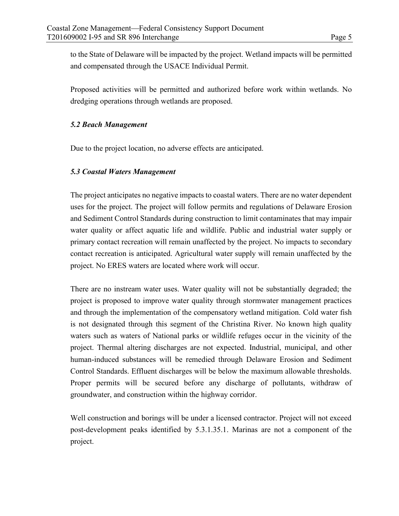Coastal Zone Management—Federal Consistency Support Document<br>T201609002 I-95 and SR 896 Interchange<br>to the State of Delaware will be impacted by the project. Wetland impacts will be permitted<br>and compensated through the US to the State of Delaware will be impacted by the project. Wetland impacts will be permitted and compensated through the USACE Individual Permit.

Proposed activities will be permitted and authorized before work within wetlands. No dredging operations through wetlands are proposed.

### 5.2 Beach Management

Due to the project location, no adverse effects are anticipated.

### 5.3 Coastal Waters Management

The project anticipates no negative impacts to coastal waters. There are no water dependent uses for the project. The project will follow permits and regulations of Delaware Erosion and Sediment Control Standards during construction to limit contaminates that may impair water quality or affect aquatic life and wildlife. Public and industrial water supply or primary contact recreation will remain unaffected by the project. No impacts to secondary contact recreation is anticipated. Agricultural water supply will remain unaffected by the project. No ERES waters are located where work will occur.

There are no instream water uses. Water quality will not be substantially degraded; the project is proposed to improve water quality through stormwater management practices and through the implementation of the compensatory wetland mitigation. Cold water fish is not designated through this segment of the Christina River. No known high quality waters such as waters of National parks or wildlife refuges occur in the vicinity of the project. Thermal altering discharges are not expected. Industrial, municipal, and other human-induced substances will be remedied through Delaware Erosion and Sediment Control Standards. Effluent discharges will be below the maximum allowable thresholds. Proper permits will be secured before any discharge of pollutants, withdraw of groundwater, and construction within the highway corridor.

Well construction and borings will be under a licensed contractor. Project will not exceed post-development peaks identified by 5.3.1.35.1. Marinas are not a component of the project.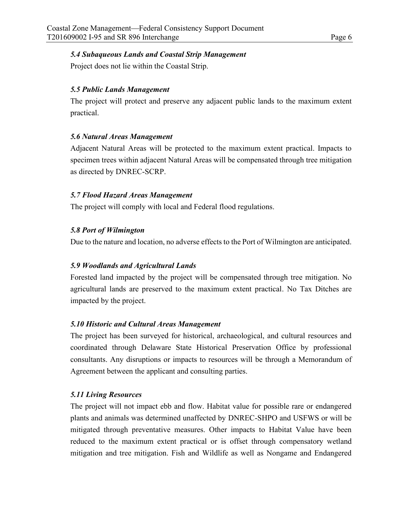### 5.4 Subaqueous Lands and Coastal Strip Management

Project does not lie within the Coastal Strip.

### 5.5 Public Lands Management

The project will protect and preserve any adjacent public lands to the maximum extent practical.

### 5.6 Natural Areas Management

Adjacent Natural Areas will be protected to the maximum extent practical. Impacts to specimen trees within adjacent Natural Areas will be compensated through tree mitigation as directed by DNREC-SCRP.

### 5.7 Flood Hazard Areas Management

The project will comply with local and Federal flood regulations.

### 5.8 Port of Wilmington

Due to the nature and location, no adverse effects to the Port of Wilmington are anticipated.

### 5.9 Woodlands and Agricultural Lands

Forested land impacted by the project will be compensated through tree mitigation. No agricultural lands are preserved to the maximum extent practical. No Tax Ditches are impacted by the project.

### 5.10 Historic and Cultural Areas Management

The project has been surveyed for historical, archaeological, and cultural resources and coordinated through Delaware State Historical Preservation Office by professional consultants. Any disruptions or impacts to resources will be through a Memorandum of Agreement between the applicant and consulting parties.

### 5.11 Living Resources

The project will not impact ebb and flow. Habitat value for possible rare or endangered plants and animals was determined unaffected by DNREC-SHPO and USFWS or will be mitigated through preventative measures. Other impacts to Habitat Value have been reduced to the maximum extent practical or is offset through compensatory wetland mitigation and tree mitigation. Fish and Wildlife as well as Nongame and Endangered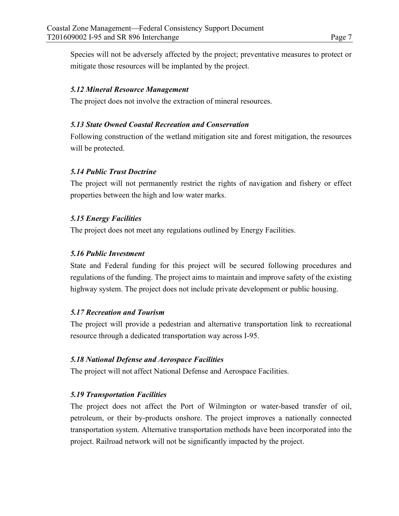Coastal Zone Management—Federal Consistency Support Document<br>T201609002 I-95 and SR 896 Interchange<br>Species will not be adversely affected by the project; preventative measures to protect or<br>mitigate those resources will b Species will not be adversely affected by the project; preventative measures to protect or mitigate those resources will be implanted by the project.

### 5.12 Mineral Resource Management

The project does not involve the extraction of mineral resources.

### 5.13 State Owned Coastal Recreation and Conservation

Following construction of the wetland mitigation site and forest mitigation, the resources will be protected.

### 5.14 Public Trust Doctrine

The project will not permanently restrict the rights of navigation and fishery or effect properties between the high and low water marks.

### 5.15 Energy Facilities

The project does not meet any regulations outlined by Energy Facilities.

### 5.16 Public Investment

State and Federal funding for this project will be secured following procedures and regulations of the funding. The project aims to maintain and improve safety of the existing highway system. The project does not include private development or public housing.

### 5.17 Recreation and Tourism

The project will provide a pedestrian and alternative transportation link to recreational resource through a dedicated transportation way across I-95.

### 5.18 National Defense and Aerospace Facilities

The project will not affect National Defense and Aerospace Facilities.

### 5.19 Transportation Facilities

The project does not affect the Port of Wilmington or water-based transfer of oil, petroleum, or their by-products onshore. The project improves a nationally connected transportation system. Alternative transportation methods have been incorporated into the project. Railroad network will not be significantly impacted by the project.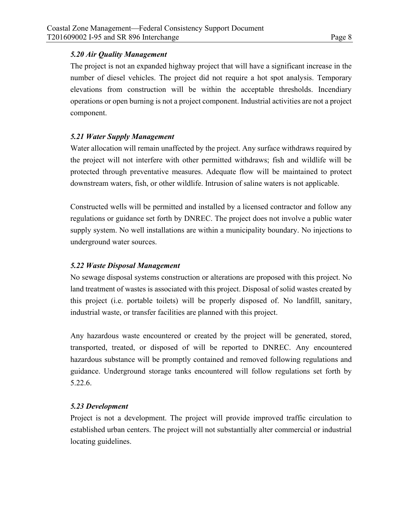### 5.20 Air Quality Management

Coastal Zone Management—Federal Consistency Support Document<br>
T201609002 I-95 and SR 896 Interchange<br>
5.20 Air Quality Management<br>
The project is not an expanded highway project that will have a significant increase in the The project is not an expanded highway project that will have a significant increase in the number of diesel vehicles. The project did not require a hot spot analysis. Temporary elevations from construction will be within the acceptable thresholds. Incendiary operations or open burning is not a project component. Industrial activities are not a project component.

### 5.21 Water Supply Management

Water allocation will remain unaffected by the project. Any surface withdraws required by the project will not interfere with other permitted withdraws; fish and wildlife will be protected through preventative measures. Adequate flow will be maintained to protect downstream waters, fish, or other wildlife. Intrusion of saline waters is not applicable.

Constructed wells will be permitted and installed by a licensed contractor and follow any regulations or guidance set forth by DNREC. The project does not involve a public water supply system. No well installations are within a municipality boundary. No injections to underground water sources.

### 5.22 Waste Disposal Management

No sewage disposal systems construction or alterations are proposed with this project. No land treatment of wastes is associated with this project. Disposal of solid wastes created by this project (i.e. portable toilets) will be properly disposed of. No landfill, sanitary, industrial waste, or transfer facilities are planned with this project.

Any hazardous waste encountered or created by the project will be generated, stored, transported, treated, or disposed of will be reported to DNREC. Any encountered hazardous substance will be promptly contained and removed following regulations and guidance. Underground storage tanks encountered will follow regulations set forth by 5.22.6.

### 5.23 Development

Project is not a development. The project will provide improved traffic circulation to established urban centers. The project will not substantially alter commercial or industrial locating guidelines.